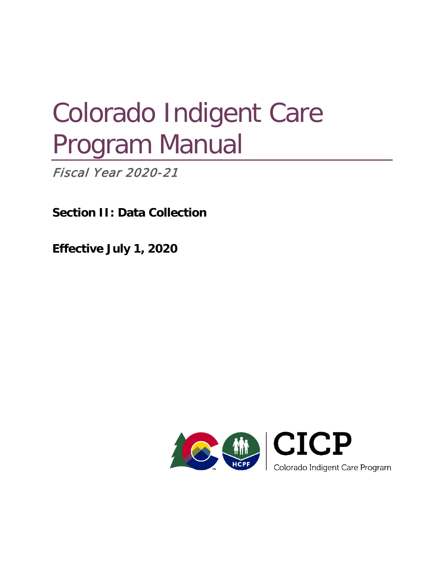# Colorado Indigent Care Program Manual

**Fiscal Year 2020-21** 

**Section II: Data Collection**

**Effective July 1, 2020**

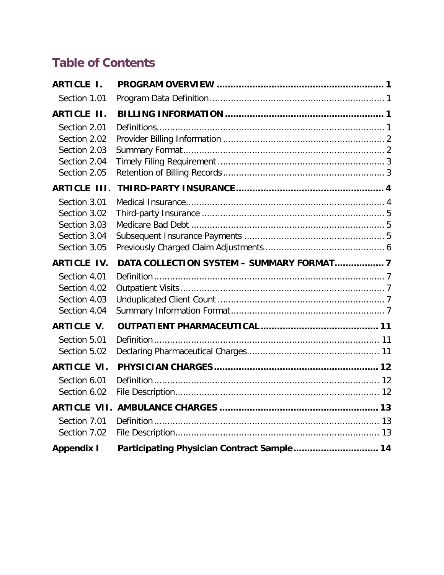# **Table of Contents**

| <b>ARTICLE I.</b>   |                                            |  |
|---------------------|--------------------------------------------|--|
| Section 1.01        |                                            |  |
| <b>ARTICLE II.</b>  |                                            |  |
| Section 2.01        |                                            |  |
| Section 2.02        |                                            |  |
| Section 2.03        |                                            |  |
| Section 2.04        |                                            |  |
| Section 2.05        |                                            |  |
| <b>ARTICLE III.</b> |                                            |  |
| Section 3.01        |                                            |  |
| Section 3.02        |                                            |  |
| Section 3.03        |                                            |  |
| Section 3.04        |                                            |  |
| Section 3.05        |                                            |  |
| <b>ARTICLE IV.</b>  | DATA COLLECTION SYSTEM - SUMMARY FORMAT 7  |  |
| Section 4.01        |                                            |  |
| Section 4.02        |                                            |  |
| Section 4.03        |                                            |  |
| Section 4.04        |                                            |  |
| <b>ARTICLE V.</b>   |                                            |  |
| Section 5.01        |                                            |  |
| Section 5.02        |                                            |  |
| <b>ARTICLE VI.</b>  |                                            |  |
| Section 6.01        |                                            |  |
| Section 6.02        |                                            |  |
|                     |                                            |  |
| Section 7.01        |                                            |  |
| Section 7.02        |                                            |  |
| <b>Appendix I</b>   | Participating Physician Contract Sample 14 |  |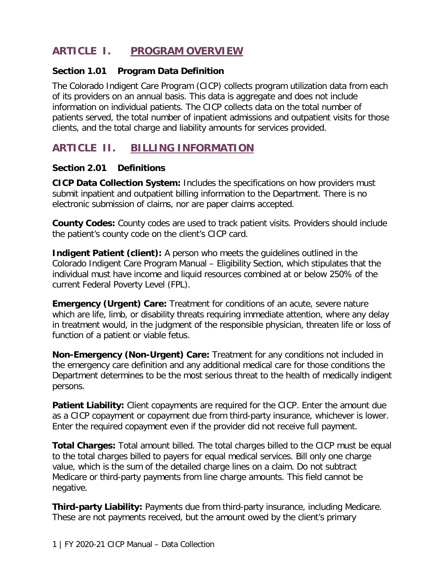# <span id="page-2-0"></span>**ARTICLE I. PROGRAM OVERVIEW**

#### <span id="page-2-1"></span>**Section 1.01 Program Data Definition**

The Colorado Indigent Care Program (CICP) collects program utilization data from each of its providers on an annual basis. This data is aggregate and does not include information on individual patients. The CICP collects data on the total number of patients served, the total number of inpatient admissions and outpatient visits for those clients, and the total charge and liability amounts for services provided.

# <span id="page-2-2"></span>**ARTICLE II. BILLING INFORMATION**

#### <span id="page-2-3"></span>**Section 2.01 Definitions**

**CICP Data Collection System:** Includes the specifications on how providers must submit inpatient and outpatient billing information to the Department. There is no electronic submission of claims, nor are paper claims accepted.

**County Codes:** County codes are used to track patient visits. Providers should include the patient's county code on the client's CICP card.

**Indigent Patient (client):** A person who meets the quidelines outlined in the Colorado Indigent Care Program Manual – Eligibility Section, which stipulates that the individual must have income and liquid resources combined at or below 250% of the current Federal Poverty Level (FPL).

**Emergency (Urgent) Care:** Treatment for conditions of an acute, severe nature which are life, limb, or disability threats requiring immediate attention, where any delay in treatment would, in the judgment of the responsible physician, threaten life or loss of function of a patient or viable fetus.

**Non-Emergency (Non-Urgent) Care:** Treatment for any conditions not included in the emergency care definition and any additional medical care for those conditions the Department determines to be the most serious threat to the health of medically indigent persons.

**Patient Liability:** Client copayments are required for the CICP. Enter the amount due as a CICP copayment or copayment due from third-party insurance, whichever is lower. Enter the required copayment even if the provider did not receive full payment.

**Total Charges:** Total amount billed. The total charges billed to the CICP must be equal to the total charges billed to payers for equal medical services. Bill only one charge value, which is the sum of the detailed charge lines on a claim. Do not subtract Medicare or third-party payments from line charge amounts. This field cannot be negative.

**Third-party Liability:** Payments due from third-party insurance, including Medicare. These are not payments received, but the amount owed by the client's primary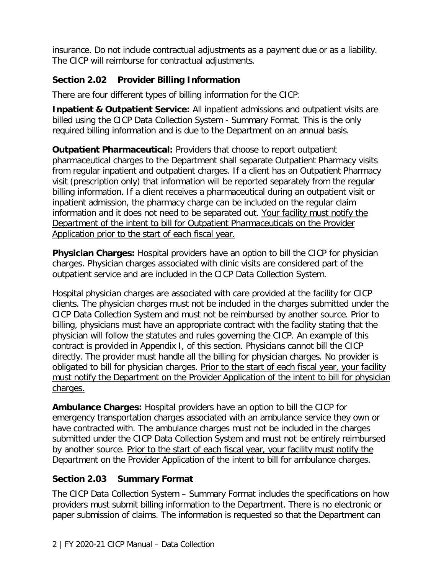insurance. Do not include contractual adjustments as a payment due or as a liability. The CICP will reimburse for contractual adjustments.

#### <span id="page-3-0"></span>**Section 2.02 Provider Billing Information**

There are four different types of billing information for the CICP:

**Inpatient & Outpatient Service:** All inpatient admissions and outpatient visits are billed using the CICP Data Collection System - Summary Format. This is the only required billing information and is due to the Department on an annual basis.

**Outpatient Pharmaceutical:** Providers that choose to report outpatient pharmaceutical charges to the Department shall separate Outpatient Pharmacy visits from regular inpatient and outpatient charges. If a client has an Outpatient Pharmacy visit (prescription only) that information will be reported separately from the regular billing information. If a client receives a pharmaceutical during an outpatient visit or inpatient admission, the pharmacy charge can be included on the regular claim information and it does not need to be separated out. Your facility must notify the Department of the intent to bill for Outpatient Pharmaceuticals on the Provider Application prior to the start of each fiscal year.

**Physician Charges:** Hospital providers have an option to bill the CICP for physician charges. Physician charges associated with clinic visits are considered part of the outpatient service and are included in the CICP Data Collection System.

Hospital physician charges are associated with care provided at the facility for CICP clients. The physician charges must not be included in the charges submitted under the CICP Data Collection System and must not be reimbursed by another source. Prior to billing, physicians must have an appropriate contract with the facility stating that the physician will follow the statutes and rules governing the CICP. An example of this contract is provided in Appendix I, of this section. Physicians cannot bill the CICP directly. The provider must handle all the billing for physician charges. No provider is obligated to bill for physician charges. Prior to the start of each fiscal year, your facility must notify the Department on the Provider Application of the intent to bill for physician charges.

**Ambulance Charges:** Hospital providers have an option to bill the CICP for emergency transportation charges associated with an ambulance service they own or have contracted with. The ambulance charges must not be included in the charges submitted under the CICP Data Collection System and must not be entirely reimbursed by another source. Prior to the start of each fiscal year, your facility must notify the Department on the Provider Application of the intent to bill for ambulance charges.

#### <span id="page-3-1"></span>**Section 2.03 Summary Format**

The CICP Data Collection System – Summary Format includes the specifications on how providers must submit billing information to the Department. There is no electronic or paper submission of claims. The information is requested so that the Department can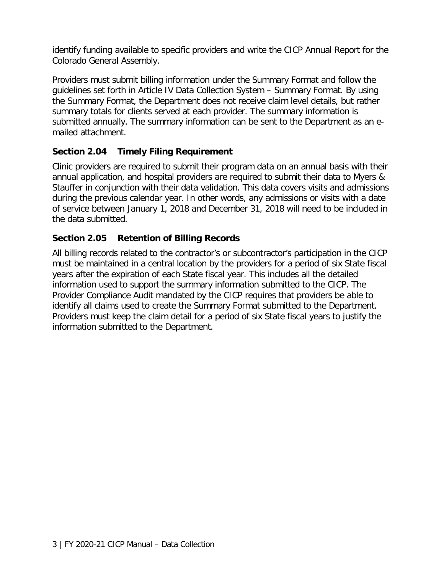identify funding available to specific providers and write the CICP Annual Report for the Colorado General Assembly.

Providers must submit billing information under the Summary Format and follow the guidelines set forth in Article IV Data Collection System – Summary Format. By using the Summary Format, the Department does not receive claim level details, but rather summary totals for clients served at each provider. The summary information is submitted annually. The summary information can be sent to the Department as an emailed attachment.

### <span id="page-4-0"></span>**Section 2.04 Timely Filing Requirement**

Clinic providers are required to submit their program data on an annual basis with their annual application, and hospital providers are required to submit their data to Myers & Stauffer in conjunction with their data validation. This data covers visits and admissions during the previous calendar year. In other words, any admissions or visits with a date of service between January 1, 2018 and December 31, 2018 will need to be included in the data submitted.

#### <span id="page-4-1"></span>**Section 2.05 Retention of Billing Records**

All billing records related to the contractor's or subcontractor's participation in the CICP must be maintained in a central location by the providers for a period of six State fiscal years after the expiration of each State fiscal year. This includes all the detailed information used to support the summary information submitted to the CICP. The Provider Compliance Audit mandated by the CICP requires that providers be able to identify all claims used to create the Summary Format submitted to the Department. Providers must keep the claim detail for a period of six State fiscal years to justify the information submitted to the Department.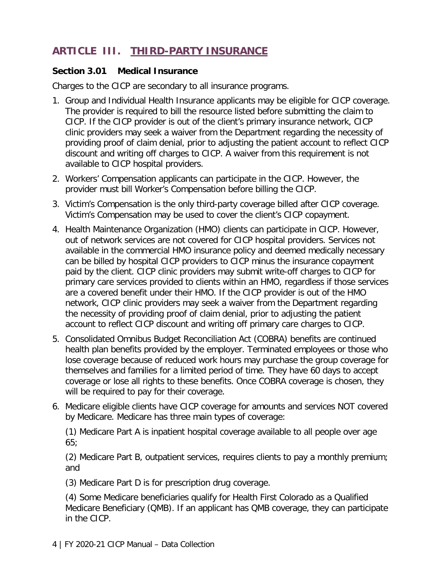# <span id="page-5-0"></span>**ARTICLE III. THIRD-PARTY INSURANCE**

#### <span id="page-5-1"></span>**Section 3.01 Medical Insurance**

Charges to the CICP are secondary to all insurance programs.

- 1. Group and Individual Health Insurance applicants may be eligible for CICP coverage. The provider is required to bill the resource listed before submitting the claim to CICP. If the CICP provider is out of the client's primary insurance network, CICP clinic providers may seek a waiver from the Department regarding the necessity of providing proof of claim denial, prior to adjusting the patient account to reflect CICP discount and writing off charges to CICP. A waiver from this requirement is not available to CICP hospital providers.
- 2. Workers' Compensation applicants can participate in the CICP. However, the provider must bill Worker's Compensation before billing the CICP.
- 3. Victim's Compensation is the only third-party coverage billed after CICP coverage. Victim's Compensation may be used to cover the client's CICP copayment.
- 4. Health Maintenance Organization (HMO) clients can participate in CICP. However, out of network services are not covered for CICP hospital providers. Services not available in the commercial HMO insurance policy and deemed medically necessary can be billed by hospital CICP providers to CICP minus the insurance copayment paid by the client. CICP clinic providers may submit write-off charges to CICP for primary care services provided to clients within an HMO, regardless if those services are a covered benefit under their HMO. If the CICP provider is out of the HMO network, CICP clinic providers may seek a waiver from the Department regarding the necessity of providing proof of claim denial, prior to adjusting the patient account to reflect CICP discount and writing off primary care charges to CICP.
- 5. Consolidated Omnibus Budget Reconciliation Act (COBRA) benefits are continued health plan benefits provided by the employer. Terminated employees or those who lose coverage because of reduced work hours may purchase the group coverage for themselves and families for a limited period of time. They have 60 days to accept coverage or lose all rights to these benefits. Once COBRA coverage is chosen, they will be required to pay for their coverage.
- 6. Medicare eligible clients have CICP coverage for amounts and services NOT covered by Medicare. Medicare has three main types of coverage:

(1) Medicare Part A is inpatient hospital coverage available to all people over age 65;

(2) Medicare Part B, outpatient services, requires clients to pay a monthly premium; and

(3) Medicare Part D is for prescription drug coverage.

(4) Some Medicare beneficiaries qualify for Health First Colorado as a Qualified Medicare Beneficiary (QMB). If an applicant has QMB coverage, they can participate in the CICP.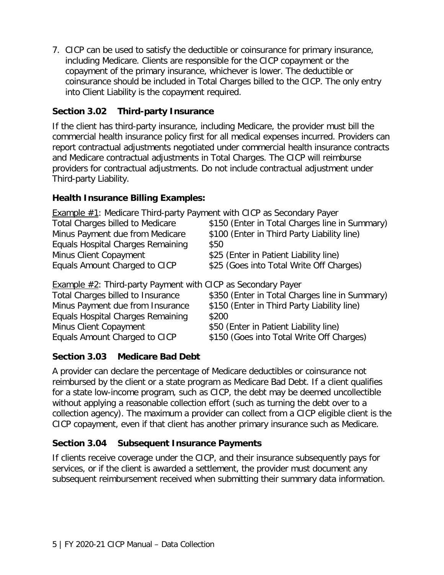7. CICP can be used to satisfy the deductible or coinsurance for primary insurance, including Medicare. Clients are responsible for the CICP copayment or the copayment of the primary insurance, whichever is lower. The deductible or coinsurance should be included in Total Charges billed to the CICP. The only entry into Client Liability is the copayment required.

#### <span id="page-6-0"></span>**Section 3.02 Third-party Insurance**

If the client has third-party insurance, including Medicare, the provider must bill the commercial health insurance policy first for all medical expenses incurred. Providers can report contractual adjustments negotiated under commercial health insurance contracts and Medicare contractual adjustments in Total Charges. The CICP will reimburse providers for contractual adjustments. Do not include contractual adjustment under Third-party Liability.

#### **Health Insurance Billing Examples:**

Example #1: Medicare Third-party Payment with CICP as Secondary Payer

| \$150 (Enter in Total Charges line in Summary) |
|------------------------------------------------|
|                                                |
|                                                |
|                                                |
|                                                |
| \$25 (Goes into Total Write Off Charges)       |

**Example**  $\#2$ **: Third-party Payment with CICP as Secondary Payer** 

| Total Charges billed to Insurance | \$350 (Enter in Total Charges line in Summary) |
|-----------------------------------|------------------------------------------------|
| Minus Payment due from Insurance  | \$150 (Enter in Third Party Liability line)    |
| Equals Hospital Charges Remaining | \$200                                          |
| Minus Client Copayment            | \$50 (Enter in Patient Liability line)         |
| Equals Amount Charged to CICP     | \$150 (Goes into Total Write Off Charges)      |
|                                   |                                                |

#### <span id="page-6-1"></span>**Section 3.03 Medicare Bad Debt**

A provider can declare the percentage of Medicare deductibles or coinsurance not reimbursed by the client or a state program as Medicare Bad Debt. If a client qualifies for a state low-income program, such as CICP, the debt may be deemed uncollectible without applying a reasonable collection effort (such as turning the debt over to a collection agency). The maximum a provider can collect from a CICP eligible client is the CICP copayment, even if that client has another primary insurance such as Medicare.

#### <span id="page-6-2"></span>**Section 3.04 Subsequent Insurance Payments**

If clients receive coverage under the CICP, and their insurance subsequently pays for services, or if the client is awarded a settlement, the provider must document any subsequent reimbursement received when submitting their summary data information.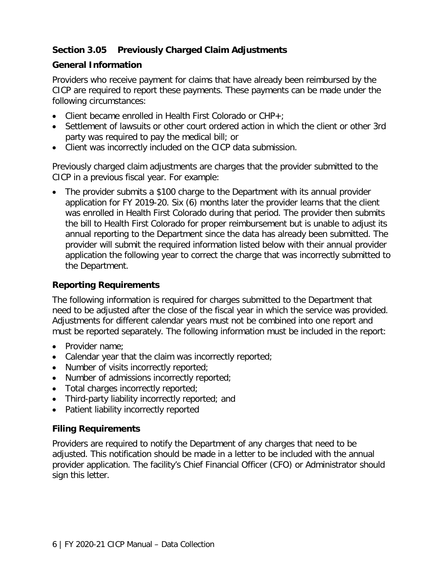#### <span id="page-7-0"></span>**Section 3.05 Previously Charged Claim Adjustments**

#### **General Information**

Providers who receive payment for claims that have already been reimbursed by the CICP are required to report these payments. These payments can be made under the following circumstances:

- Client became enrolled in Health First Colorado or CHP+;
- Settlement of lawsuits or other court ordered action in which the client or other 3rd party was required to pay the medical bill; or
- Client was incorrectly included on the CICP data submission.

Previously charged claim adjustments are charges that the provider submitted to the CICP in a previous fiscal year. For example:

• The provider submits a \$100 charge to the Department with its annual provider application for FY 2019-20. Six (6) months later the provider learns that the client was enrolled in Health First Colorado during that period. The provider then submits the bill to Health First Colorado for proper reimbursement but is unable to adjust its annual reporting to the Department since the data has already been submitted. The provider will submit the required information listed below with their annual provider application the following year to correct the charge that was incorrectly submitted to the Department.

#### **Reporting Requirements**

The following information is required for charges submitted to the Department that need to be adjusted after the close of the fiscal year in which the service was provided. Adjustments for different calendar years must not be combined into one report and must be reported separately. The following information must be included in the report:

- Provider name;
- Calendar year that the claim was incorrectly reported;
- Number of visits incorrectly reported;
- Number of admissions incorrectly reported;
- Total charges incorrectly reported;
- Third-party liability incorrectly reported; and
- Patient liability incorrectly reported

#### **Filing Requirements**

Providers are required to notify the Department of any charges that need to be adjusted. This notification should be made in a letter to be included with the annual provider application. The facility's Chief Financial Officer (CFO) or Administrator should sign this letter.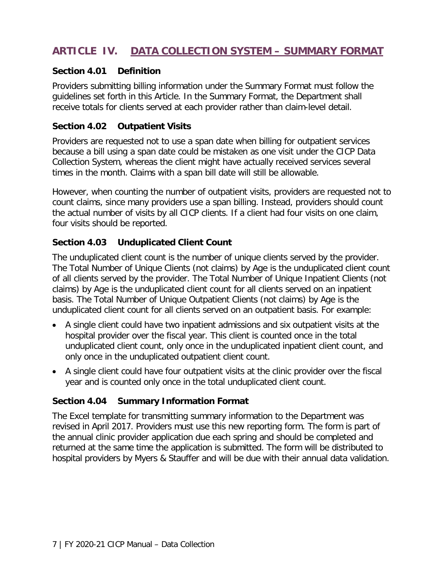# <span id="page-8-0"></span>**ARTICLE IV. DATA COLLECTION SYSTEM – SUMMARY FORMAT**

#### <span id="page-8-1"></span>**Section 4.01 Definition**

Providers submitting billing information under the Summary Format must follow the guidelines set forth in this Article. In the Summary Format, the Department shall receive totals for clients served at each provider rather than claim-level detail.

#### <span id="page-8-2"></span>**Section 4.02 Outpatient Visits**

Providers are requested not to use a span date when billing for outpatient services because a bill using a span date could be mistaken as one visit under the CICP Data Collection System, whereas the client might have actually received services several times in the month. Claims with a span bill date will still be allowable.

However, when counting the number of outpatient visits, providers are requested not to count claims, since many providers use a span billing. Instead, providers should count the actual number of visits by all CICP clients. If a client had four visits on one claim, four visits should be reported.

#### <span id="page-8-3"></span>**Section 4.03 Unduplicated Client Count**

The unduplicated client count is the number of unique clients served by the provider. The Total Number of Unique Clients (not claims) by Age is the unduplicated client count of all clients served by the provider. The Total Number of Unique Inpatient Clients (not claims) by Age is the unduplicated client count for all clients served on an inpatient basis. The Total Number of Unique Outpatient Clients (not claims) by Age is the unduplicated client count for all clients served on an outpatient basis. For example:

- A single client could have two inpatient admissions and six outpatient visits at the hospital provider over the fiscal year. This client is counted once in the total unduplicated client count, only once in the unduplicated inpatient client count, and only once in the unduplicated outpatient client count.
- A single client could have four outpatient visits at the clinic provider over the fiscal year and is counted only once in the total unduplicated client count.

#### <span id="page-8-4"></span>**Section 4.04 Summary Information Format**

The Excel template for transmitting summary information to the Department was revised in April 2017. Providers must use this new reporting form. The form is part of the annual clinic provider application due each spring and should be completed and returned at the same time the application is submitted. The form will be distributed to hospital providers by Myers & Stauffer and will be due with their annual data validation.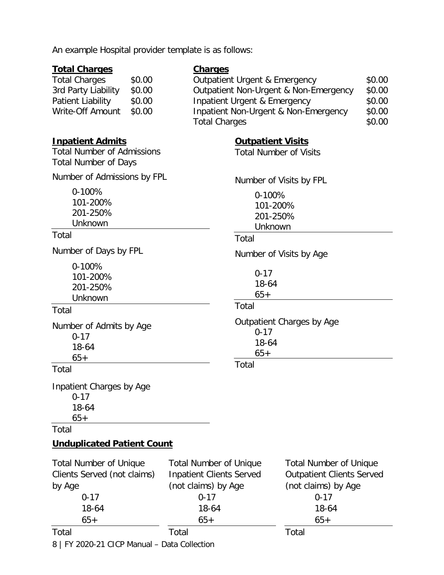|  |  |  |  | An example Hospital provider template is as follows: |  |  |  |  |
|--|--|--|--|------------------------------------------------------|--|--|--|--|
|--|--|--|--|------------------------------------------------------|--|--|--|--|

#### **Total Charges**

#### **Charges**

| <b>Total Charges</b> | \$0.00 | <b>Outpatient Urgent &amp; Emergency</b> | \$0.00 |
|----------------------|--------|------------------------------------------|--------|
| 3rd Party Liability  | \$0.00 | Outpatient Non-Urgent & Non-Emergency    | \$0.00 |
| Patient Liability    | \$0.00 | Inpatient Urgent & Emergency             | \$0.00 |
| Write-Off Amount     | \$0.00 | Inpatient Non-Urgent & Non-Emergency     | \$0.00 |
|                      |        | <b>Total Charges</b>                     | \$0.00 |

**Outpatient Visits** Total Number of Visits

> 0-100% 101-200% 201-250% Unknown

Total

Total

Total

Number of Visits by FPL

Number of Visits by Age

Outpatient Charges by Age

0-17 18-64 65+

0-17 18-64  $65+$ 

#### **Inpatient Admits**

Total Number of Admissions Total Number of Days

Number of Admissions by FPL

0-100% 101-200% 201-250% Unknown

#### Total

Number of Days by FPL

0-100% 101-200% 201-250% Unknown

#### Total

Number of Admits by Age 0-17 18-64 65+

#### Total

Inpatient Charges by Age 0-17 18-64 65+

Total

#### **Unduplicated Patient Count**

| <b>Total Number of Unique</b> | <b>Total Number of Unique</b>   | <b>Total Number of Unique</b>    |
|-------------------------------|---------------------------------|----------------------------------|
| Clients Served (not claims)   | <b>Inpatient Clients Served</b> | <b>Outpatient Clients Served</b> |
| by Age                        | (not claims) by Age             | (not claims) by Age              |
| $0 - 17$                      | $0 - 17$                        | $0 - 17$                         |
| 18-64                         | 18-64                           | 18-64                            |
| $65+$                         | $65+$                           | $65+$                            |
| Total                         | Total                           | Total                            |

8 | FY 2020-21 CICP Manual – Data Collection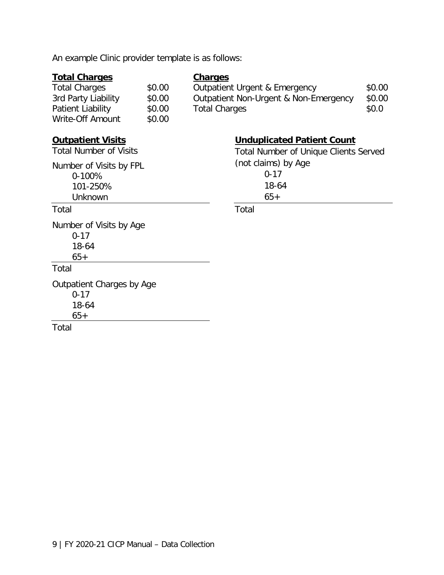| An example Clinic provider template is as follows:                                                           |                                      |                                                                                                                  |                           |
|--------------------------------------------------------------------------------------------------------------|--------------------------------------|------------------------------------------------------------------------------------------------------------------|---------------------------|
| <b>Total Charges</b><br><b>Total Charges</b><br>3rd Party Liability<br>Patient Liability<br>Write-Off Amount | \$0.00<br>\$0.00<br>\$0.00<br>\$0.00 | <b>Charges</b><br>Outpatient Urgent & Emergency<br>Outpatient Non-Urgent & Non-Emergency<br><b>Total Charges</b> | \$0.00<br>\$0.00<br>\$0.0 |
| <b>Outpatient Visits</b><br><b>Total Number of Visits</b>                                                    |                                      | <b>Unduplicated Patient Count</b><br><b>Total Number of Unique Clients Served</b>                                |                           |
| Number of Visits by FPL<br>0-100%<br>101-250%<br>Unknown                                                     |                                      | (not claims) by Age<br>$0 - 17$<br>18-64<br>$65+$                                                                |                           |
| Total                                                                                                        |                                      | Total                                                                                                            |                           |
| Number of Visits by Age<br>$0 - 17$<br>18-64<br>$65+$                                                        |                                      |                                                                                                                  |                           |
| Total                                                                                                        |                                      |                                                                                                                  |                           |
| Outpatient Charges by Age<br>$0 - 17$<br>18-64<br>$65+$                                                      |                                      |                                                                                                                  |                           |
| Total                                                                                                        |                                      |                                                                                                                  |                           |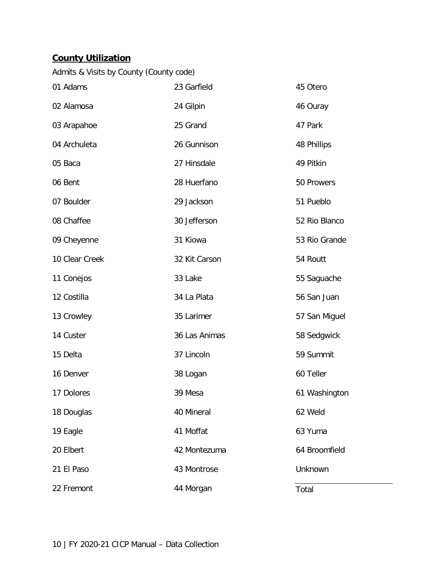# **County Utilization**

|  |  | Admits & Visits by County (County code) |  |
|--|--|-----------------------------------------|--|
|  |  |                                         |  |

| 01 Adams       | 23 Garfield   | 45 Otero      |
|----------------|---------------|---------------|
| 02 Alamosa     | 24 Gilpin     | 46 Ouray      |
| 03 Arapahoe    | 25 Grand      | 47 Park       |
| 04 Archuleta   | 26 Gunnison   | 48 Phillips   |
| 05 Baca        | 27 Hinsdale   | 49 Pitkin     |
| 06 Bent        | 28 Huerfano   | 50 Prowers    |
| 07 Boulder     | 29 Jackson    | 51 Pueblo     |
| 08 Chaffee     | 30 Jefferson  | 52 Rio Blanco |
| 09 Cheyenne    | 31 Kiowa      | 53 Rio Grande |
| 10 Clear Creek | 32 Kit Carson | 54 Routt      |
| 11 Conejos     | 33 Lake       | 55 Saguache   |
| 12 Costilla    | 34 La Plata   | 56 San Juan   |
| 13 Crowley     | 35 Larimer    | 57 San Miguel |
| 14 Custer      | 36 Las Animas | 58 Sedgwick   |
| 15 Delta       | 37 Lincoln    | 59 Summit     |
| 16 Denver      | 38 Logan      | 60 Teller     |
| 17 Dolores     | 39 Mesa       | 61 Washington |
| 18 Douglas     | 40 Mineral    | 62 Weld       |
| 19 Eagle       | 41 Moffat     | 63 Yuma       |
| 20 Elbert      | 42 Montezuma  | 64 Broomfield |
| 21 El Paso     | 43 Montrose   | Unknown       |
| 22 Fremont     | 44 Morgan     | Total         |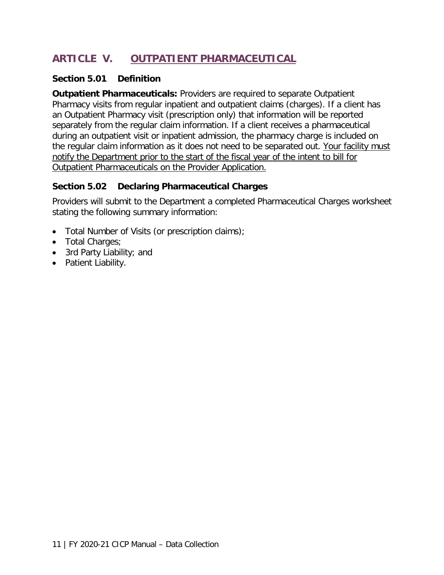# <span id="page-12-0"></span>**ARTICLE V. OUTPATIENT PHARMACEUTICAL**

#### <span id="page-12-1"></span>**Section 5.01 Definition**

**Outpatient Pharmaceuticals:** Providers are required to separate Outpatient Pharmacy visits from regular inpatient and outpatient claims (charges). If a client has an Outpatient Pharmacy visit (prescription only) that information will be reported separately from the regular claim information. If a client receives a pharmaceutical during an outpatient visit or inpatient admission, the pharmacy charge is included on the regular claim information as it does not need to be separated out. Your facility must notify the Department prior to the start of the fiscal year of the intent to bill for Outpatient Pharmaceuticals on the Provider Application.

#### <span id="page-12-2"></span>**Section 5.02 Declaring Pharmaceutical Charges**

Providers will submit to the Department a completed Pharmaceutical Charges worksheet stating the following summary information:

- Total Number of Visits (or prescription claims);
- Total Charges;
- 3rd Party Liability; and
- Patient Liability.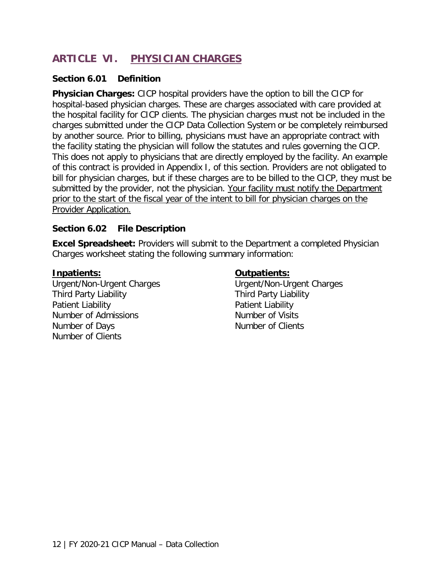# <span id="page-13-0"></span>**ARTICLE VI. PHYSICIAN CHARGES**

#### <span id="page-13-1"></span>**Section 6.01 Definition**

**Physician Charges:** CICP hospital providers have the option to bill the CICP for hospital-based physician charges. These are charges associated with care provided at the hospital facility for CICP clients. The physician charges must not be included in the charges submitted under the CICP Data Collection System or be completely reimbursed by another source. Prior to billing, physicians must have an appropriate contract with the facility stating the physician will follow the statutes and rules governing the CICP. This does not apply to physicians that are directly employed by the facility. An example of this contract is provided in Appendix I, of this section. Providers are not obligated to bill for physician charges, but if these charges are to be billed to the CICP, they must be submitted by the provider, not the physician. Your facility must notify the Department prior to the start of the fiscal year of the intent to bill for physician charges on the Provider Application.

#### <span id="page-13-2"></span>**Section 6.02 File Description**

**Excel Spreadsheet:** Providers will submit to the Department a completed Physician Charges worksheet stating the following summary information:

#### **Inpatients:**

Urgent/Non-Urgent Charges Third Party Liability Patient Liability Number of Admissions Number of Days Number of Clients

#### **Outpatients:**

Urgent/Non-Urgent Charges Third Party Liability Patient Liability Number of Visits Number of Clients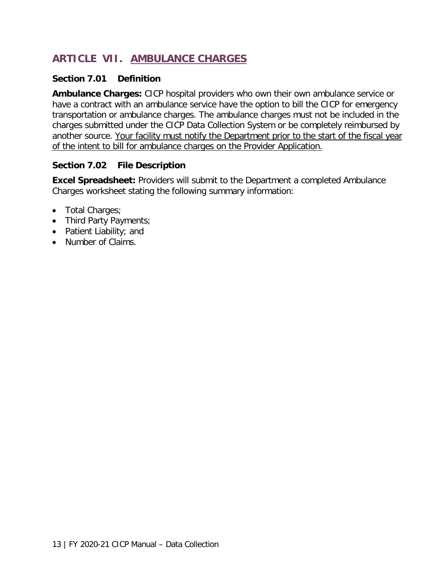# <span id="page-14-0"></span>**ARTICLE VII. AMBULANCE CHARGES**

#### <span id="page-14-1"></span>**Section 7.01 Definition**

**Ambulance Charges:** CICP hospital providers who own their own ambulance service or have a contract with an ambulance service have the option to bill the CICP for emergency transportation or ambulance charges. The ambulance charges must not be included in the charges submitted under the CICP Data Collection System or be completely reimbursed by another source. Your facility must notify the Department prior to the start of the fiscal year of the intent to bill for ambulance charges on the Provider Application.

#### <span id="page-14-2"></span>**Section 7.02 File Description**

**Excel Spreadsheet:** Providers will submit to the Department a completed Ambulance Charges worksheet stating the following summary information:

- Total Charges;
- Third Party Payments;
- Patient Liability; and
- Number of Claims.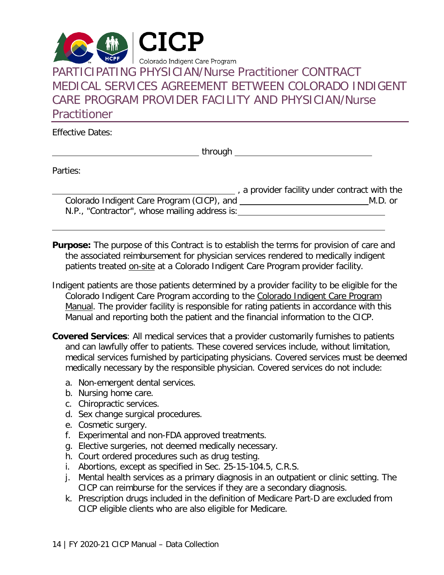<span id="page-15-0"></span>

Effective Dates:

**through** The Contract of the Contract of the Contract of the Contract of the Contract of the Contract of the Contract of the Contract of the Contract of the Contract of the Contract of the Contract of the Contract of the

Parties:

|                                               | , a provider facility under contract with the |
|-----------------------------------------------|-----------------------------------------------|
| Colorado Indigent Care Program (CICP), and    | M.D. or                                       |
| N.P., "Contractor", whose mailing address is: |                                               |

**Purpose:** The purpose of this Contract is to establish the terms for provision of care and the associated reimbursement for physician services rendered to medically indigent patients treated on-site at a Colorado Indigent Care Program provider facility.

- Indigent patients are those patients determined by a provider facility to be eligible for the Colorado Indigent Care Program according to the Colorado Indigent Care Program Manual. The provider facility is responsible for rating patients in accordance with this Manual and reporting both the patient and the financial information to the CICP.
- **Covered Services**: All medical services that a provider customarily furnishes to patients and can lawfully offer to patients. These covered services include, without limitation, medical services furnished by participating physicians. Covered services must be deemed medically necessary by the responsible physician. Covered services do not include:
	- a. Non-emergent dental services.
	- b. Nursing home care.
	- c. Chiropractic services.
	- d. Sex change surgical procedures.
	- e. Cosmetic surgery.
	- f. Experimental and non-FDA approved treatments.
	- g. Elective surgeries, not deemed medically necessary.
	- h. Court ordered procedures such as drug testing.
	- i. Abortions, except as specified in Sec. 25-15-104.5, C.R.S.
	- j. Mental health services as a primary diagnosis in an outpatient or clinic setting. The CICP can reimburse for the services if they are a secondary diagnosis.
	- k. Prescription drugs included in the definition of Medicare Part-D are excluded from CICP eligible clients who are also eligible for Medicare.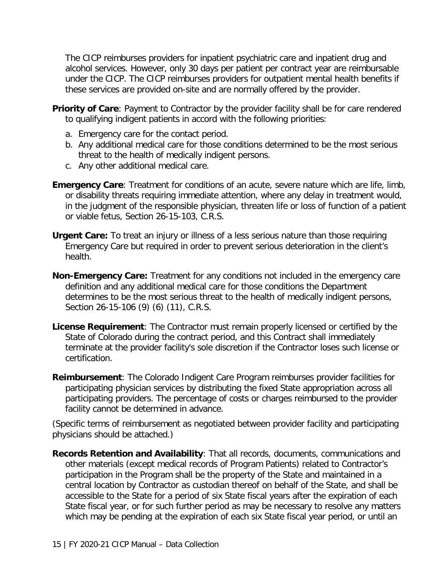The CICP reimburses providers for inpatient psychiatric care and inpatient drug and alcohol services. However, only 30 days per patient per contract year are reimbursable under the CICP. The CICP reimburses providers for outpatient mental health benefits if these services are provided on-site and are normally offered by the provider.

- **Priority of Care**: Payment to Contractor by the provider facility shall be for care rendered to qualifying indigent patients in accord with the following priorities:
	- a. Emergency care for the contact period.
	- b. Any additional medical care for those conditions determined to be the most serious threat to the health of medically indigent persons.
	- c. Any other additional medical care.
- **Emergency Care**: Treatment for conditions of an acute, severe nature which are life, limb, or disability threats requiring immediate attention, where any delay in treatment would, in the judgment of the responsible physician, threaten life or loss of function of a patient or viable fetus, Section 26-15-103, C.R.S.
- **Urgent Care:** To treat an injury or illness of a less serious nature than those requiring Emergency Care but required in order to prevent serious deterioration in the client's health.
- **Non-Emergency Care:** Treatment for any conditions not included in the emergency care definition and any additional medical care for those conditions the Department determines to be the most serious threat to the health of medically indigent persons, Section 26-15-106 (9) (6) (11), C.R.S.
- **License Requirement**: The Contractor must remain properly licensed or certified by the State of Colorado during the contract period, and this Contract shall immediately terminate at the provider facility's sole discretion if the Contractor loses such license or certification.
- **Reimbursement**: The Colorado Indigent Care Program reimburses provider facilities for participating physician services by distributing the fixed State appropriation across all participating providers. The percentage of costs or charges reimbursed to the provider facility cannot be determined in advance.

(Specific terms of reimbursement as negotiated between provider facility and participating physicians should be attached.)

**Records Retention and Availability**: That all records, documents, communications and other materials (except medical records of Program Patients) related to Contractor's participation in the Program shall be the property of the State and maintained in a central location by Contractor as custodian thereof on behalf of the State, and shall be accessible to the State for a period of six State fiscal years after the expiration of each State fiscal year, or for such further period as may be necessary to resolve any matters which may be pending at the expiration of each six State fiscal year period, or until an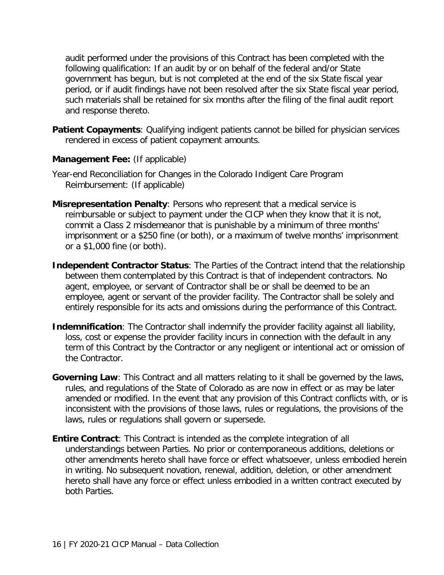audit performed under the provisions of this Contract has been completed with the following qualification: If an audit by or on behalf of the federal and/or State government has begun, but is not completed at the end of the six State fiscal year period, or if audit findings have not been resolved after the six State fiscal year period, such materials shall be retained for six months after the filing of the final audit report and response thereto.

**Patient Copayments**: Qualifying indigent patients cannot be billed for physician services rendered in excess of patient copayment amounts.

#### **Management Fee:** (If applicable)

- Year-end Reconciliation for Changes in the Colorado Indigent Care Program Reimbursement: (If applicable)
- **Misrepresentation Penalty**: Persons who represent that a medical service is reimbursable or subject to payment under the CICP when they know that it is not, commit a Class 2 misdemeanor that is punishable by a minimum of three months' imprisonment or a \$250 fine (or both), or a maximum of twelve months' imprisonment or a \$1,000 fine (or both).
- **Independent Contractor Status**: The Parties of the Contract intend that the relationship between them contemplated by this Contract is that of independent contractors. No agent, employee, or servant of Contractor shall be or shall be deemed to be an employee, agent or servant of the provider facility. The Contractor shall be solely and entirely responsible for its acts and omissions during the performance of this Contract.
- **Indemnification**: The Contractor shall indemnify the provider facility against all liability, loss, cost or expense the provider facility incurs in connection with the default in any term of this Contract by the Contractor or any negligent or intentional act or omission of the Contractor.
- **Governing Law**: This Contract and all matters relating to it shall be governed by the laws, rules, and regulations of the State of Colorado as are now in effect or as may be later amended or modified. In the event that any provision of this Contract conflicts with, or is inconsistent with the provisions of those laws, rules or regulations, the provisions of the laws, rules or regulations shall govern or supersede.
- **Entire Contract**: This Contract is intended as the complete integration of all understandings between Parties. No prior or contemporaneous additions, deletions or other amendments hereto shall have force or effect whatsoever, unless embodied herein in writing. No subsequent novation, renewal, addition, deletion, or other amendment hereto shall have any force or effect unless embodied in a written contract executed by both Parties.